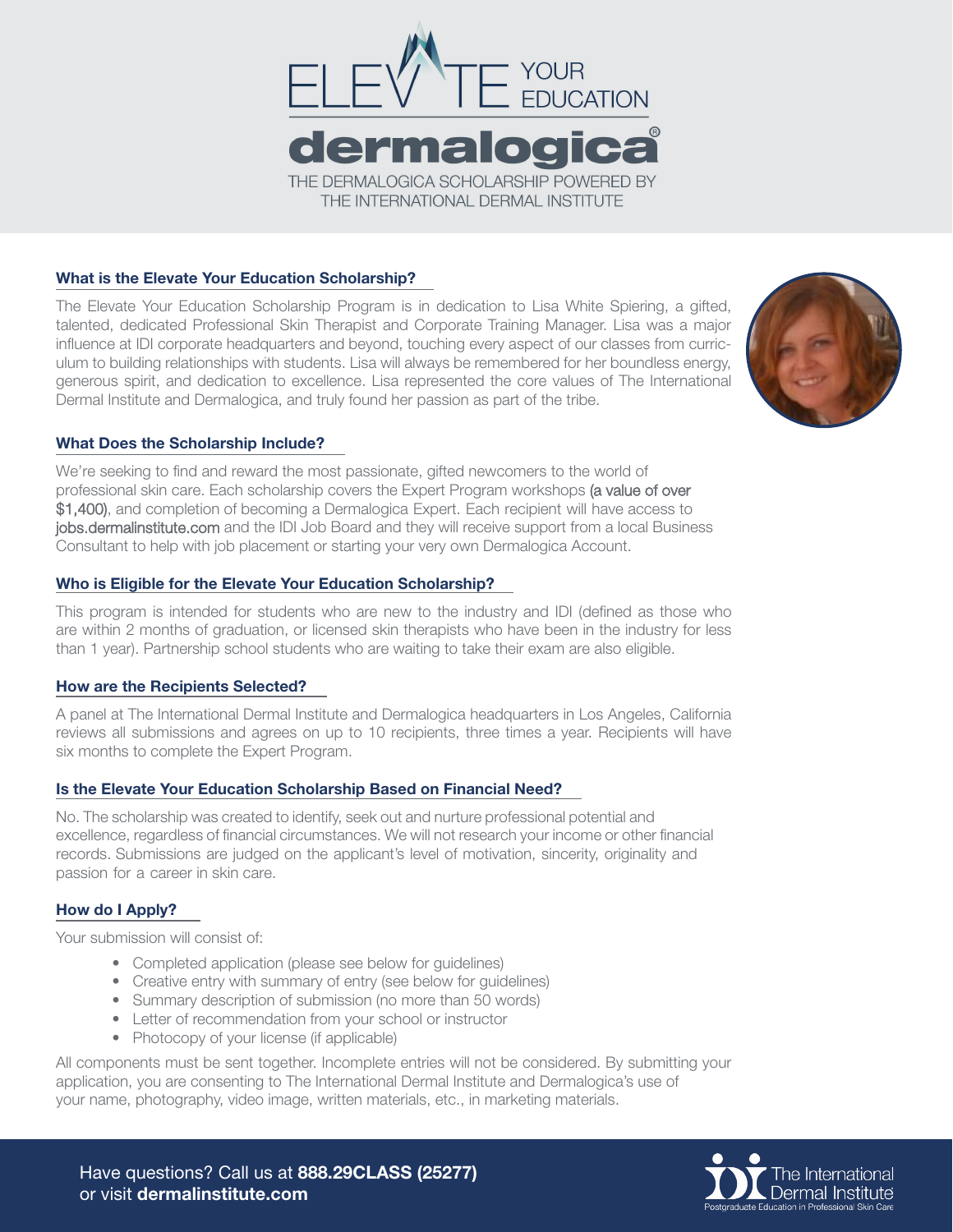

## What is the Elevate Your Education Scholarship?

The Elevate Your Education Scholarship Program is in dedication to Lisa White Spiering, a gifted, talented, dedicated Professional Skin Therapist and Corporate Training Manager. Lisa was a major influence at IDI corporate headquarters and beyond, touching every aspect of our classes from curriculum to building relationships with students. Lisa will always be remembered for her boundless energy, generous spirit, and dedication to excellence. Lisa represented the core values of The International Dermal Institute and Dermalogica, and truly found her passion as part of the tribe.



## What Does the Scholarship Include?

We're seeking to find and reward the most passionate, gifted newcomers to the world of professional skin care. Each scholarship covers the Expert Program workshops (a value of over \$1,400), and completion of becoming a Dermalogica Expert. Each recipient will have access to jobs.dermalinstitute.com and the IDI Job Board and they will receive support from a local Business Consultant to help with job placement or starting your very own Dermalogica Account.

### Who is Eligible for the Elevate Your Education Scholarship?

This program is intended for students who are new to the industry and IDI (defined as those who are within 2 months of graduation, or licensed skin therapists who have been in the industry for less than 1 year). Partnership school students who are waiting to take their exam are also eligible.

## How are the Recipients Selected?

A panel at The International Dermal Institute and Dermalogica headquarters in Los Angeles, California reviews all submissions and agrees on up to 10 recipients, three times a year. Recipients will have six months to complete the Expert Program.

#### Is the Elevate Your Education Scholarship Based on Financial Need?

No. The scholarship was created to identify, seek out and nurture professional potential and excellence, regardless of financial circumstances. We will not research your income or other financial records. Submissions are judged on the applicant's level of motivation, sincerity, originality and passion for a career in skin care.

## How do I Apply?

Your submission will consist of:

- Completed application (please see below for guidelines)
- Creative entry with summary of entry (see below for guidelines)
- Summary description of submission (no more than 50 words)
- Letter of recommendation from your school or instructor
- Photocopy of your license (if applicable)

All components must be sent together. Incomplete entries will not be considered. By submitting your application, you are consenting to The International Dermal Institute and Dermalogica's use of your name, photography, video image, written materials, etc., in marketing materials.

Have questions? Call us at 888.29CLASS (25277) or visit dermalinstitute.com